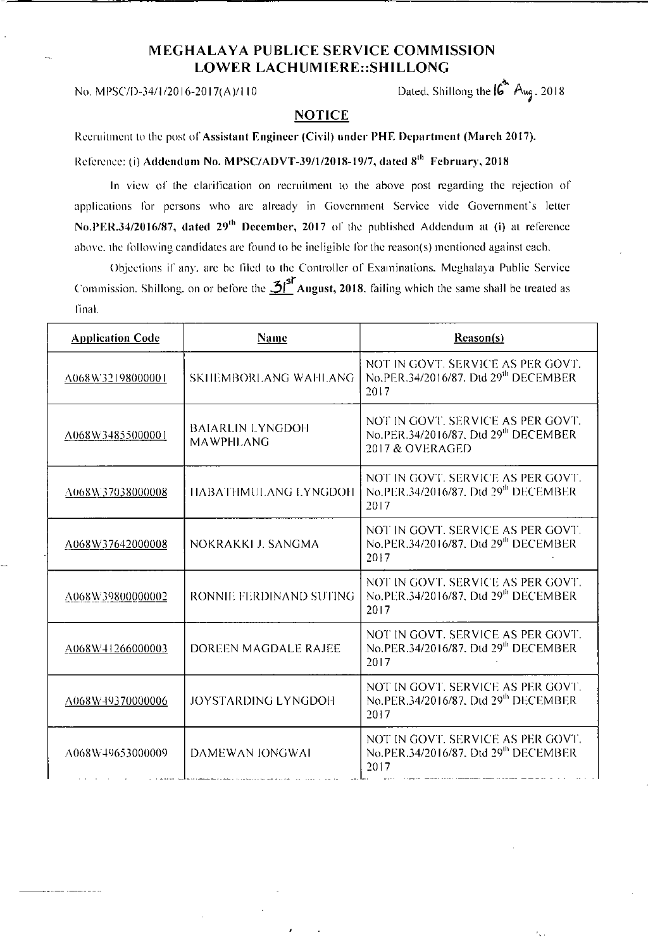## MEGHALAYA PUBLICE SERVICE COMMISSION LOWER LACHUMIERE::SHILLONG

No. MPSC/D-34/1/2016-2017(A)/110 Dated. Shillong the  $16^{\text{th}}$  Aug. 2018

ς.

## NOTICE

Recruitment to the post of Assistant Engineer (Civil) under PHE Department (March 2017).

Reference: (i) Addendum No. MPSC/ADVT-39/1/2018-19/7, dated 8<sup>th</sup> February, 2018

In view of the clarification on recruitment to the above post regarding the rejection of applications for persons who are already in Government Service vide Government's letter No.PER.34/2016/87, dated 29<sup>th</sup> December, 2017 of the published Addendum at (i) at reference above, the following candidates are found to be ineligible for the reason(s) mentioned against each.

Objections if any. are be filed to the Controller of Examinations. Meghalaya Public Service Commission. Shillong, on or before the  $\frac{3!}{3!}$  August, 2018. failing which the same shall be treated as final.

|  | <b>Application Code</b>                                     | <b>Name</b>                                                       | Reason(s)                                                                                     |
|--|-------------------------------------------------------------|-------------------------------------------------------------------|-----------------------------------------------------------------------------------------------|
|  | A068W32198000001                                            | <b>SKHEMBORLANG WAHLANG</b>                                       | NOT IN GOVT. SERVICE AS PER GOVT.<br>No.PER.34/2016/87, Dtd 29th DECEMBER<br>2017             |
|  | A068W34855000001                                            | <b>BAIARLIN LYNGDOH</b><br>MAWPHLANG                              | NOT IN GOVT, SERVICE AS PER GOVT.<br>No.PER.34/2016/87, Dtd 29th DECEMBER<br>2017 & OVERAGED  |
|  | A068W37038000008                                            | <b>HABATHMULANG LYNGDOH</b>                                       | NOT IN GOVT. SERVICE AS PER GOVT.<br>No.PER.34/2016/87, Dtd 29 <sup>th</sup> DECEMBER<br>2017 |
|  | A068W37642000008                                            | NOKRAKKI J. SANGMA                                                | NOT IN GOVT. SERVICE AS PER GOVT.<br>No.PER.34/2016/87, Dtd 29 <sup>th</sup> DECEMBER<br>2017 |
|  | A068W39800000002                                            | RONNIE FERDINAND SUTING                                           | NOT IN GOVT. SERVICE AS PER GOVT.<br>No.PER.34/2016/87, Dtd 29th DECEMBER<br>2017             |
|  | A068W41266000003                                            | DOREEN MAGDALE RAJEE                                              | NOT IN GOVT. SERVICE AS PER GOVT.<br>No.PER.34/2016/87, Dtd 29th DECEMBER<br>2017             |
|  | A068W49370000006                                            | <b>JOYSTARDING LYNGDOH</b>                                        | NOT IN GOVT. SERVICE AS PER GOVT.<br>No.PER.34/2016/87, Dtd 29th DECEMBER<br>2017             |
|  | A068W49653000009<br>the transfer of the control of the con- | DAMEWAN IONGWAI<br>المروان والمسابقة والانتقاد والمتحدث المستدعات | NOT IN GOVT. SERVICE AS PER GOVT.<br>No.PER.34/2016/87, Dtd 29th DECEMBER<br>2017             |